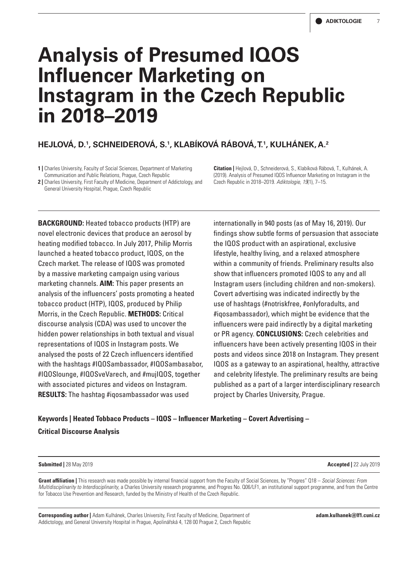# **Analysis of Presumed IQOS Influencer Marketing on Instagram in the Czech Republic in 2018–2019**

# **HEJLOVÁ, D.1 , SCHNEIDEROVÁ, S.1 , KLABÍKOVÁ RÁBOVÁ, T.1 , KULHÁNEK, A.2**

**1 |** Charles University, Faculty of Social Sciences, Department of Marketing Communication and Public Relations, Prague, Czech Republic

**2 |** Charles University, First Faculty of Medicine, Department of Addictology, and General University Hospital, Prague, Czech Republic

**Citation |** Hejlová, D., Schneiderová, S., Klabíková Rábová, T., Kulhánek, A. (2019). Analysis of Presumed IQOS Influencer Marketing on Instagram in the Czech Republic in 2018–2019. *Adiktologie, 19*(1), 7–15.

**BACKGROUND:** Heated tobacco products (HTP) are novel electronic devices that produce an aerosol by heating modified tobacco. In July 2017, Philip Morris launched a heated tobacco product, IQOS, on the Czech market. The release of IQOS was promoted by a massive marketing campaign using various marketing channels. **AIM:** This paper presents an analysis of the influencers' posts promoting a heated tobacco product (HTP), IQOS, produced by Philip Morris, in the Czech Republic. **METHODS:** Critical discourse analysis (CDA) was used to uncover the hidden power relationships in both textual and visual representations of IQOS in Instagram posts. We analysed the posts of 22 Czech influencers identified with the hashtags #IQOSambassador, #IQOSambasabor, #IQOSlounge, #IQOSveVarech, and #mujIQOS, together with associated pictures and videos on Instagram. **RESULTS:** The hashtag #iqosambassador was used

internationally in 940 posts (as of May 16, 2019). Our findings show subtle forms of persuasion that associate the IQOS product with an aspirational, exclusive lifestyle, healthy living, and a relaxed atmosphere within a community of friends. Preliminary results also show that influencers promoted IQOS to any and all Instagram users (including children and non-smokers). Covert advertising was indicated indirectly by the use of hashtags (#notriskfree, #onlyforadults, and #iqosambassador), which might be evidence that the influencers were paid indirectly by a digital marketing or PR agency. **CONCLUSIONS:** Czech celebrities and influencers have been actively presenting IQOS in their posts and videos since 2018 on Instagram. They present IQOS as a gateway to an aspirational, healthy, attractive and celebrity lifestyle. The preliminary results are being published as a part of a larger interdisciplinary research project by Charles University, Prague.

# **Keywords | Heated Tobbaco Products – IQOS – Influencer Marketing – Covert Advertising – Critical Discourse Analysis**

#### **Submitted |** 28 May 2019 **Accepted |** 22 July 2019

**Grant affiliation |** This research was made possible by internal financial support from the Faculty of Social Sciences, by "Progres" Q18 – *Social Sciences: From Multidisciplinarity to Interdisciplinarity*, a Charles University research programme, and Progres No. Q06/LF1, an institutional support programme, and from the Centre for Tobacco Use Prevention and Research, funded by the Ministry of Health of the Czech Republic.

**Corresponding author |** Adam Kulhánek, Charles University, First Faculty of Medicine, Department of Addictology, and General University Hospital in Prague, Apolinářská 4, 128 00 Prague 2, Czech Republic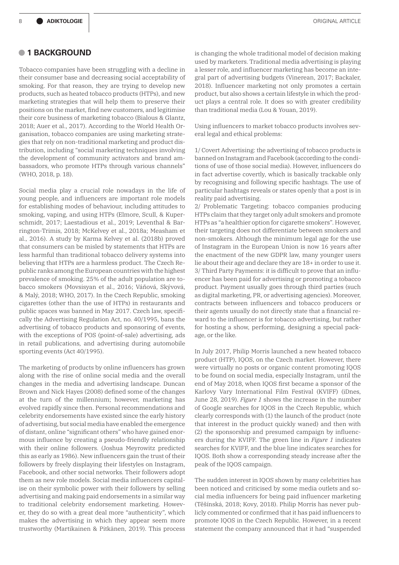## **• 1 BACKGROUND**

Tobacco companies have been struggling with a decline in their consumer base and decreasing social acceptability of smoking. For that reason, they are trying to develop new products, such as heated tobacco products (HTPs), and new marketing strategies that will help them to preserve their positions on the market, find new customers, and legitimise their core business of marketing tobacco (Bialous & Glantz, 2018; Auer et al., 2017). According to the World Health Organisation, tobacco companies are using marketing strategies that rely on non-traditional marketing and product distribution, including "social marketing techniques involving the development of community activators and brand ambassadors, who promote HTPs through various channels" (WHO, 2018, p. 18).

Social media play a crucial role nowadays in the life of young people, and influencers are important role models for establishing modes of behaviour, including attitudes to smoking, vaping, and using HTPs (Elmore, Scull, & Kuperschmidt, 2017; Laestadious et al., 2019; Leventhal & Barrington-Trimis, 2018; McKelvey et al., 2018a; Measham et al., 2016). A study by Karma Kelvey et al. (2018b) proved that consumers can be misled by statements that HTPs are less harmful than traditional tobacco delivery systems into believing that HTPs are a harmless product. The Czech Republic ranks among the European countries with the highest prevalence of smoking. 25% of the adult population are tobacco smokers (Movsisyan et al., 2016; Váňová, Skývová, & Malý, 2018; WHO, 2017). In the Czech Republic, smoking cigarettes (other than the use of HTPs) in restaurants and public spaces was banned in May 2017. Czech law, specifically the Advertising Regulation Act, no. 40/1995, bans the advertising of tobacco products and sponsoring of events, with the exceptions of POS (point-of-sale) advertising, ads in retail publications, and advertising during automobile sporting events (Act 40/1995).

The marketing of products by online influencers has grown along with the rise of online social media and the overall changes in the media and advertising landscape. Duncan Brown and Nick Hayes (2008) defined some of the changes at the turn of the millennium; however, marketing has evolved rapidly since then. Personal recommendations and celebrity endorsements have existed since the early history of advertising, but social media have enabled the emergence of distant, online "significant others" who have gained enormous influence by creating a pseudo-friendly relationship with their online followers. (Joshua Meyrowitz predicted this as early as 1986). New influencers gain the trust of their followers by freely displaying their lifestyles on Instagram, Facebook, and other social networks. Their followers adopt them as new role models. Social media influencers capitalise on their symbolic power with their followers by selling advertising and making paid endorsements in a similar way to traditional celebrity endorsement marketing. However, they do so with a great deal more "authenticity", which makes the advertising in which they appear seem more trustworthy (Martikainen & Pitkänen, 2019). This process

is changing the whole traditional model of decision making used by marketers. Traditional media advertising is playing a lesser role, and influencer marketing has become an integral part of advertising budgets (Vinerean, 2017; Backaler, 2018). Influencer marketing not only promotes a certain product, but also shows a certain lifestyle in which the product plays a central role. It does so with greater credibility than traditional media (Lou & Youan, 2019).

Using influencers to market tobacco products involves several legal and ethical problems:

1/ Covert Advertising: the advertising of tobacco products is banned on Instagram and Facebook (according to the conditions of use of those social media). However, influencers do in fact advertise covertly, which is basically trackable only by recognising and following specific hashtags. The use of particular hashtags reveals or states openly that a post is in reality paid advertising.

2/ Problematic Targeting: tobacco companies producing HTPs claim that they target only adult smokers and promote HTPs as "a healthier option for cigarette smokers". However, their targeting does not differentiate between smokers and non-smokers. Although the minimum legal age for the use of Instagram in the European Union is now 16 years after the enactment of the new GDPR law, many younger users lie about their age and declare they are 18+ in order to use it. 3/ Third Party Payments: it is difficult to prove that an influencer has been paid for advertising or promoting a tobacco product. Payment usually goes through third parties (such as digital marketing, PR, or advertising agencies). Moreover, contracts between influencers and tobacco producers or their agents usually do not directly state that a financial reward to the influencer is for tobacco advertising, but rather for hosting a show, performing, designing a special package, or the like.

In July 2017, Philip Morris launched a new heated tobacco product (HTP), IQOS, on the Czech market. However, there were virtually no posts or organic content promoting IQOS to be found on social media, especially Instagram, until the end of May 2018, when IQOS first became a sponsor of the Karlovy Vary International Film Festival (KVIFF) (iDnes, June 28, 2019). *Figure 1* shows the increase in the number of Google searches for IQOS in the Czech Republic, which clearly corresponds with (1) the launch of the product (note that interest in the product quickly waned) and then with (2) the sponsorship and presumed campaign by influencers during the KVIFF. The green line in *Figure 1* indicates searches for KVIFF, and the blue line indicates searches for IQOS. Both show a corresponding steady increase after the peak of the IQOS campaign.

The sudden interest in IQOS shown by many celebrities has been noticed and criticised by some media outlets and social media influencers for being paid influencer marketing (Těšínská, 2018; Kovy, 2018). Philip Morris has never publicly commented or confirmed that it has paid influencers to promote IQOS in the Czech Republic. However, in a recent statement the company announced that it had "suspended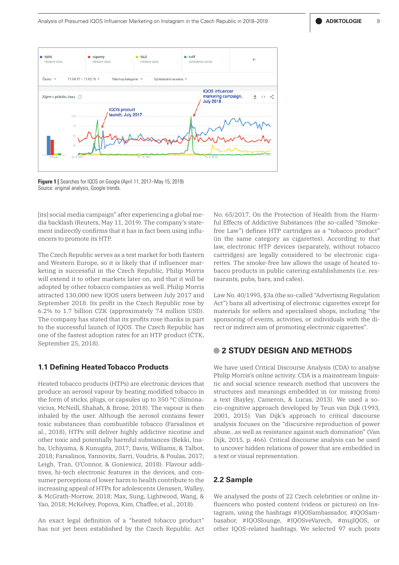

**Figure 1 |** Searches for IQOS on Google (April 11, 2017–May 15, 2019) Source: original analysis, Google trends.

[its] social media campaign" after experiencing a global media backlash (Reuters, May 11, 2019). The company's statement indirectly confirms that it has in fact been using influencers to promote its HTP.

The Czech Republic serves as a test market for both Eastern and Western Europe, so it is likely that if influencer marketing is successful in the Czech Republic, Philip Morris will extend it to other markets later on, and that it will be adopted by other tobacco companies as well. Philip Morris attracted 130,000 new IQOS users between July 2017 and September 2018. Its profit in the Czech Republic rose by 6.2% to 1.7 billion CZK (approximately 74 million USD). The company has stated that its profits rose thanks in part to the successful launch of IQOS. The Czech Republic has one of the fastest adoption rates for an HTP product (ČTK, September 25, 2018).

#### **1.1 Defining Heated Tobacco Products**

Heated tobacco products (HTPs) are electronic devices that produce an aerosol vapour by heating modified tobacco in the form of sticks, plugs, or capsules up to 350 °C (Simonavicius, McNeill, Shahab, & Brose, 2018). The vapour is then inhaled by the user. Although the aerosol contains fewer toxic substances than combustible tobacco (Farsalinos et al., 2018), HTPs still deliver highly addictive nicotine and other toxic and potentially harmful substances (Bekki, Inaba, Uchiyama, & Kunugita, 2017; Davis, Williams, & Talbot, 2018; Farsalinos, Yannovits, Sarri, Voudris, & Poulas, 2017; Leigh, Tran, O'Connor, & Goniewicz, 2018). Flavour additives, hi-tech electronic features in the devices, and consumer perceptions of lower harm to health contribute to the increasing appeal of HTPs for adolescents (Jenssen, Walley, & McGrath-Morrow, 2018; Max, Sung, Lightwood, Wang, & Yao, 2018; McKelvey, Popova, Kim, Chaffee, et al., 2018).

An exact legal definition of a "heated tobacco product" has not yet been established by the Czech Republic. Act No. 65/2017, On the Protection of Health from the Harmful Effects of Addictive Substances (the so-called "Smokefree Law") defines HTP cartridges as a "tobacco product" (in the same category as cigarettes). According to that law, electronic HTP devices (separately, without tobacco cartridges) are legally considered to be electronic cigarettes. The smoke-free law allows the usage of heated tobacco products in public catering establishments (i.e. restaurants, pubs, bars, and cafes).

Law No. 40/1995, §3a (the so-called "Advertising Regulation Act") bans all advertising of electronic cigarettes except for materials for sellers and specialised shops, including "the sponsoring of events, activities, or individuals with the direct or indirect aim of promoting electronic cigarettes".

# **• 2 STUDY DESIGN AND METHODS**

We have used Critical Discourse Analysis (CDA) to analyse Philip Morris's online activity. CDA is a mainstream linguistic and social science research method that uncovers the structures and meanings embedded in (or missing from) a text (Bayley, Cameron, & Lucas, 2013). We used a socio-cognitive approach developed by Teun van Dijk (1993, 2001, 2015). Van Dijk's approach to critical discourse analysis focuses on the "discursive reproduction of power abuse…as well as resistance against such domination" (Van Dijk, 2015, p. 466). Critical discourse analysis can be used to uncover hidden relations of power that are embedded in a text or visual representation.

## **2.2 Sample**

We analysed the posts of 22 Czech celebrities or online influencers who posted content (videos or pictures) on Instagram, using the hashtags #IQOSambassador, #IQOSambasabor, #IQOSlounge, #IQOSveVarech, #mujIQOS, or other IQOS-related hashtags. We selected 97 such posts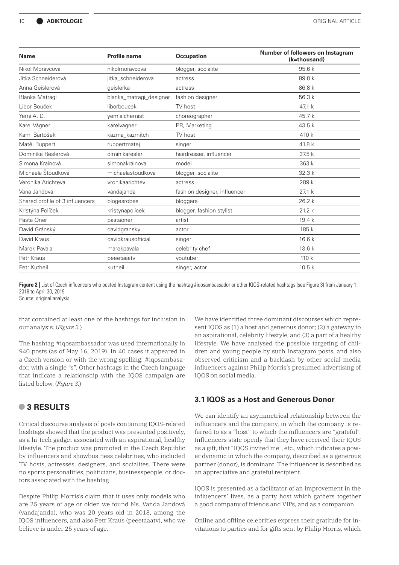| <b>Name</b>                     | <b>Profile name</b>     | <b>Occupation</b>            | Number of followers on Instagram<br>(k=thousand) |
|---------------------------------|-------------------------|------------------------------|--------------------------------------------------|
| Nikol Moravcová                 | nikolmoraycova          | blogger, socialite           | 95.6k                                            |
| Jitka Schneiderová              | jitka_schneiderova      | actress                      | 89.8 k                                           |
| Anna Geislerová                 | qeislerka               | actress                      | 86.8 k                                           |
| Blanka Matragi                  | blanka_matragi_designer | fashion designer             | 56.3k                                            |
| Libor Bouček                    | liborboucek             | TV host                      | 47.1 k                                           |
| Yemi A. D.                      | vemialchemist           | choreographer                | 45.7 k                                           |
| Karel Vágner                    | karelvagner             | PR, Marketing                | 43.5k                                            |
| Kami Bartošek                   | kazma_kazmitch          | TV host                      | 410 k                                            |
| Matěj Ruppert                   | ruppertmatej            | singer                       | 41.8 k                                           |
| Dominika Reslerová              | diminikaresler          | hairdresser, influencer      | 37.5k                                            |
| Simona Krainová                 | simonakrainova          | model                        | 363 k                                            |
| Michaela Štoudková              | michaelastoudkova       | blogger, socialite           | 32.3 k                                           |
| Veronika Arichteva              | vronikaarichtev         | actress                      | 289 k                                            |
| Vana Jandová                    | vandajanda              | fashion designer, influencer | 27.1 k                                           |
| Shared profile of 3 influencers | blogesrobes             | bloggers                     | 26.2k                                            |
| Kristýna Políček                | kristynapolicek         | blogger, fashion stylist     | 21.2k                                            |
| Pasta Oner                      | pastaoner               | artist                       | 19.4k                                            |
| David Gránský                   | davidgransky            | actor                        | 185 k                                            |
| David Kraus                     | davidkrausofficial      | singer                       | 16.6k                                            |
| Marek Pavala                    | marekpavala             | celebrity chef               | 13.6k                                            |
| Petr Kraus                      | peeetaaatv              | youtuber                     | 110k                                             |
| Petr Kutheil                    | kutheil                 | singer, actor                | 10.5k                                            |

**Figure 2** I List of Czech influencers who posted Instagram content using the hashtag #igosambassador or other IQOS-related hashtags (see Figure 3) from January 1, 2018 to April 30, 2019

Source: original analysis

that contained at least one of the hashtags for inclusion in our analysis. (*Figure 2.*)

The hashtag #iqosambassador was used internationally in 940 posts (as of May 16, 2019). In 40 cases it appeared in a Czech version or with the wrong spelling: #iqosambasador, with a single "s". Other hashtags in the Czech language that indicate a relationship with the IQOS campaign are listed below. (*Figure 3.*)

# **• 3 RESULTS**

Critical discourse analysis of posts containing IQOS-related hashtags showed that the product was presented positively, as a hi-tech gadget associated with an aspirational, healthy lifestyle. The product was promoted in the Czech Republic by influencers and showbusiness celebrities, who included TV hosts, actresses, designers, and socialites. There were no sports personalities, politicians, businesspeople, or doctors associated with the hashtag.

Despite Philip Morris's claim that it uses only models who are 25 years of age or older, we found Ms. Vanda Jandová (vandajanda), who was 20 years old in 2018, among the IQOS influencers, and also Petr Kraus (peeetaaatv), who we believe is under 25 years of age.

We have identified three dominant discourses which represent IQOS as (1) a host and generous donor; (2) a gateway to an aspirational, celebrity lifestyle, and (3) a part of a healthy lifestyle. We have analysed the possible targeting of children and young people by such Instagram posts, and also observed criticism and a backlash by other social media influencers against Philip Morris's presumed advertising of IQOS on social media.

## **3.1 IQOS as a Host and Generous Donor**

We can identify an asymmetrical relationship between the influencers and the company, in which the company is referred to as a "host" to which the influencers are "grateful". Influencers state openly that they have received their IQOS as a gift, that "IQOS invited me", etc., which indicates a power dynamic in which the company, described as a generous partner (donor), is dominant. The influencer is described as an appreciative and grateful recipient.

IQOS is presented as a facilitator of an improvement in the influencers' lives, as a party host which gathers together a good company of friends and VIPs, and as a companion.

Online and offline celebrities express their gratitude for invitations to parties and for gifts sent by Philip Morris, which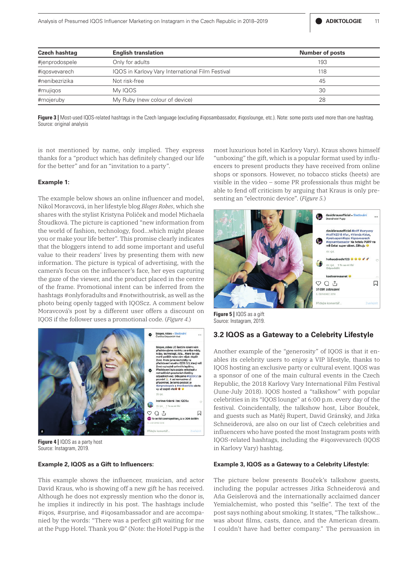| <b>Czech hashtag</b> | <b>English translation</b>                       | <b>Number of posts</b> |
|----------------------|--------------------------------------------------|------------------------|
| #jenprodospele       | Only for adults                                  | 193                    |
| #igosvevarech        | IQOS in Karlovy Vary International Film Festival | 118                    |
| #nenibezrizika       | Not risk-free                                    | 45                     |
| #mujiqos             | My IQOS                                          | 30                     |
| #mojeruby            | My Ruby (new colour of device)                   | 28                     |

**Figure 3 |** Most-used IQOS-related hashtags in the Czech language (excluding #igosambassador, #igoslounge, etc.). Note: some posts used more than one hashtag. Source: original analysis

is not mentioned by name, only implied. They express thanks for a "product which has definitely changed our life for the better" and for an "invitation to a party".

#### **Example 1:**

The example below shows an online influencer and model, Nikol Moravcová, in her lifestyle blog *Bloges Robes*, which she shares with the stylist Kristyna Poliček and model Michaela Štoudková. The picture is captioned "new information from the world of fashion, technology, food…which might please you or make your life better". This promise clearly indicates that the bloggers intend to add some important and useful value to their readers' lives by presenting them with new information. The picture is typical of advertising, with the camera's focus on the influencer's face, her eyes capturing the gaze of the viewer, and the product placed in the centre of the frame. Promotional intent can be inferred from the hashtags #onlyforadults and #notwithoutrisk, as well as the photo being openly tagged with IQOScz. A comment below Moravcová's post by a different user offers a discount on IQOS if the follower uses a promotional code. (*Figure 4.*)



**Figure 4 |** IQOS as a party host Source: Instagram, 2019.

#### **Example 2, IQOS as a Gift to Influencers:**

This example shows the influencer, musician, and actor David Kraus, who is showing off a new gift he has received. Although he does not expressly mention who the donor is, he implies it indirectly in his post. The hashtags include #iqos, #surprise, and #iqosambassador and are accompanied by the words: "There was a perfect gift waiting for me at the Pupp Hotel. Thank you  $\mathbb{O}$ " (Note: the Hotel Pupp is the most luxurious hotel in Karlovy Vary). Kraus shows himself "unboxing" the gift, which is a popular format used by influencers to present products they have received from online shops or sponsors. However, no tobacco sticks (heets) are visible in the video – some PR professionals thus might be able to fend off criticism by arguing that Kraus is only presenting an "electronic device". (*Figure 5.*)



**Figure 5 |** IQOS as a gift Source: Instagram, 2019.

#### **3.2 IQOS as a Gateway to a Celebrity Lifestyle**

Another example of the "generosity" of IQOS is that it enables its celebrity users to enjoy a VIP lifestyle, thanks to IQOS hosting an exclusive party or cultural event. IQOS was a sponsor of one of the main cultural events in the Czech Republic, the 2018 Karlovy Vary International Film Festival (June-July 2018). IQOS hosted a "talkshow" with popular celebrities in its "IQOS lounge" at 6:00 p.m. every day of the festival. Coincidentally, the talkshow host, Libor Bouček, and guests such as Matěj Rupert, David Gránský, and Jitka Schneiderová, are also on our list of Czech celebrities and influencers who have posted the most Instagram posts with IQOS-related hashtags, including the #iqosvevarech (IQOS in Karlovy Vary) hashtag.

#### **Example 3, IQOS as a Gateway to a Celebrity Lifestyle:**

The picture below presents Bouček's talkshow guests, including the popular actresses Jitka Schneiderová and Aňa Geislerová and the internationally acclaimed dancer Yemialchemist, who posted this "selfie". The text of the post says nothing about smoking. It states, "The talkshow… was about films, casts, dance, and the American dream. I couldn't have had better company." The persuasion in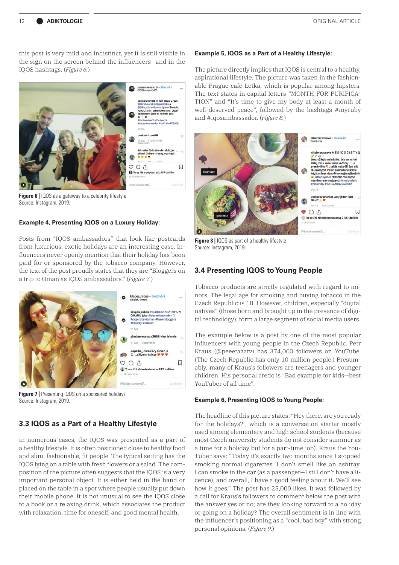this post is very mild and indistinct, yet it is still visible in the sign on the screen behind the influencers—and in the IQOS hashtags. (*Figure 6.*)



**Figure 6 | IQOS** as a gateway to a celebrity lifestyle Source: Instagram, 2019.

#### **Example 4, Presenting IQOS on a Luxury Holiday:**

Posts from "IQOS ambassadors" that look like postcards from luxurious, exotic holidays are an interesting case. Influencers never openly mention that their holiday has been paid for or sponsored by the tobacco company. However, the text of the post proudly states that they are "Bloggers on a trip to Oman as IQOS ambassadors." (*Figure 7.*)



**Figure 7** | Presenting IQOS on a sponsored holiday? Source: Instagram, 2019.

## **3.3 IQOS as a Part of a Healthy Lifestyle**

In numerous cases, the IQOS was presented as a part of a healthy lifestyle. It is often positioned close to healthy food and slim, fashionable, fit people. The typical setting has the IQOS lying on a table with fresh flowers or a salad. The composition of the picture often suggests that the IQOS is a very important personal object. It is either held in the hand or placed on the table in a spot where people usually put down their mobile phone. It is not unusual to see the IQOS close to a book or a relaxing drink, which associates the product with relaxation, time for oneself, and good mental health.

#### **Example 5, IQOS as a Part of a Healthy Lifestyle:**

The picture directly implies that IQOS is central to a healthy, aspirational lifestyle. The picture was taken in the fashionable Prague café Letka, which is popular among hipsters. The text states in capital letters "MONTH FOR PURIFICA-TION" and "It's time to give my body at least a month of well-deserved peace", followed by the hashtags #myruby and #iqosambassador. (*Figure 8.*)



**Figure 8 |** IQOS as part of a healthy lifestyle Source: Instagram, 2019.

#### **3.4 Presenting IQOS to Young People**

Tobacco products are strictly regulated with regard to minors. The legal age for smoking and buying tobacco in the Czech Republic is 18. However, children, especially "digital natives" (those born and brought up in the presence of digital technology), form a large segment of social media users.

The example below is a post by one of the most popular influencers with young people in the Czech Republic. Petr Kraus (@peeetaaatv) has 374,000 followers on YouTube. (The Czech Republic has only 10 million people.) Presumably, many of Kraus's followers are teenagers and younger children. His personal credo is "Bad example for kids—best YouTuber of all time".

#### **Example 6, Presenting IQOS to Young People:**

The headline of this picture states: "Hey there, are you ready for the holidays?", which is a conversation starter mostly used among elementary and high school students (because most Czech university students do not consider summer as a time for a holiday but for a part-time job). Kraus the You-Tuber says: "Today it's exactly two months since I stopped smoking normal cigarettes. I don't smell like an ashtray, I can smoke in the car (as a passenger—I still don't have a licence), and overall, I have a good feeling about it. We'll see how it goes." The post has 25,000 likes. It was followed by a call for Kraus's followers to comment below the post with the answer yes or no; are they looking forward to a holiday or going on a holiday? The overall sentiment is in line with the influencer's positioning as a "cool, bad boy" with strong personal opinions. (*Figure 9.*)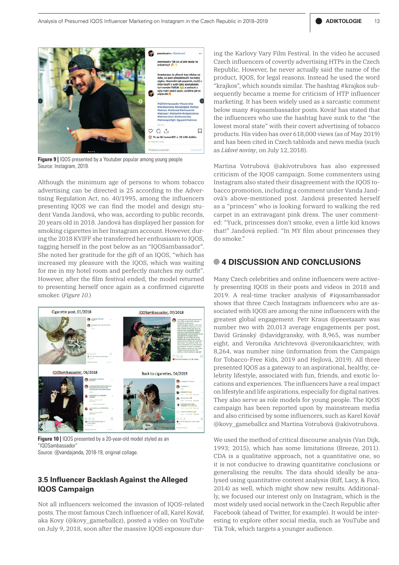

**Figure 9 |** IQOS presented by a Youtuber popular among young people Source: Instagram, 2019.

Although the minimum age of persons to whom tobacco advertising can be directed is 25 according to the Advertising Regulation Act, no. 40/1995, among the influencers presenting IQOS we can find the model and design student Vanda Jandová, who was, according to public records, 20 years old in 2018. Jandová has displayed her passion for smoking cigarettes in her Instagram account. However, during the 2018 KVIFF she transferred her enthusiasm to IQOS, tagging herself in the post below as an "IQOSambassador". She noted her gratitude for the gift of an IQOS, "which has increased my pleasure with the IQOS, which was waiting for me in my hotel room and perfectly matches my outfit". However, after the film festival ended, the model returned to presenting herself once again as a confirmed cigarette smoker. (*Figure 10.*)



**Figure 10 |** IQOS presented by a 20-year-old model styled as an "IQOSambassador" Source: @vandajanda, 2018-19, original collage.

# **3.5 Influencer Backlash Against the Alleged IQOS Campaign**

Not all influencers welcomed the invasion of IQOS-related posts. The most famous Czech influencer of all, Karel Kovář, aka Kovy (@kovy\_gameballcz), posted a video on YouTube on July 9, 2018, soon after the massive IQOS exposure during the Karlovy Vary Film Festival. In the video he accused Czech influencers of covertly advertising HTPs in the Czech Republic. However, he never actually said the name of the product, IQOS, for legal reasons. Instead he used the word "krajkos", which sounds similar. The hashtag #krajkos subsequently became a meme for criticism of HTP influencer marketing. It has been widely used as a sarcastic comment below many #iqosambassador posts. Kovář has stated that the influencers who use the hashtag have sunk to the "the lowest moral state" with their covert advertising of tobacco products. His video has over 618,000 views (as of May 2019) and has been cited in Czech tabloids and news media (such as *Lidové noviny*, on July 12,2018).

Martina Votrubová @akivotrubova has also expressed criticism of the IQOS campaign. Some commenters using Instagram also stated their disagreement with the IQOS tobacco promotion, including a comment under Vanda Jandová's above-mentioned post. Jandová presented herself as a "princess" who is looking forward to walking the red carpet in an extravagant pink dress. The user commented: "Yuck, princesses don't smoke, even a little kid knows that!" Jandová replied: "In MY film about princesses they do smoke."

## **• 4 DISCUSSION AND CONCLUSIONS**

Many Czech celebrities and online influencers were actively presenting IQOS in their posts and videos in 2018 and 2019. A real-time tracker analysis of #iqosambassador shows that three Czech Instagram influencers who are associated with IQOS are among the nine influencers with the greatest global engagement. Petr Kraus @peeetaaatv was number two with 20,013 average engagements per post, David Gránský @davidgransky, with 8,965, was number eight, and Veronika Arichtevová @veronikaarichtev, with 8,264, was number nine (information from the Campaign for Tobacco-Free Kids, 2019 and Hejlová, 2019). All three presented IQOS as a gateway to an aspirational, healthy, celebrity lifestyle, associated with fun, friends, and exotic locations and experiences. The influencers have a real impact on lifestyle and life aspirations, especially for digital natives. They also serve as role models for young people. The IQOS campaign has been reported upon by mainstream media and also criticised by some influencers, such as Karel Kovář @kovy\_gameballcz and Martina Votrubová @akivotrubova.

We used the method of critical discourse analysis (Van Dijk, 1993; 2015), which has some limitations (Breeze, 2011). CDA is a qualitative approach, not a quantitative one, so it is not conducive to drawing quantitative conclusions or generalising the results. The data should ideally be analysed using quantitative content analysis (Riff, Lacy, & Fico, 2014) as well, which might show new results. Additionally, we focused our interest only on Instagram, which is the most widely used social network in the Czech Republic after Facebook (ahead of Twitter, for example). It would be interesting to explore other social media, such as YouTube and Tik Tok, which targets a younger audience.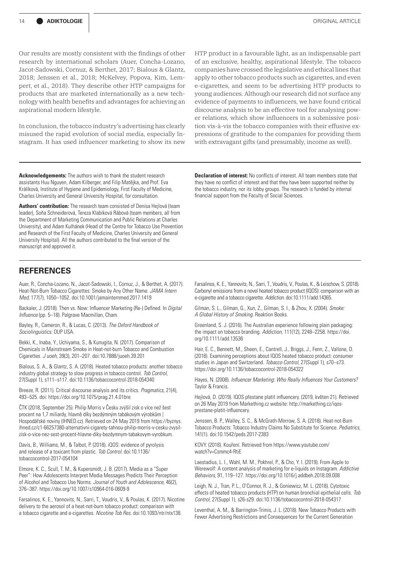Our results are mostly consistent with the findings of other research by international scholars (Auer, Concha-Lozano, Jacot-Sadowski, Cornuz, & Berthet, 2017; Bialous & Glantz, 2018; Jenssen et al., 2018; McKelvey, Popova, Kim, Lempert, et al., 2018). They describe other HTP campaigns for products that are marketed internationally as a new technology with health benefits and advantages for achieving an aspirational modern lifestyle.

In conclusion, the tobacco industry's advertising has clearly misused the rapid evolution of social media, especially Instagram. It has used influencer marketing to show its new HTP product in a favourable light, as an indispensable part of an exclusive, healthy, aspirational lifestyle. The tobacco companies have crossed the legislative and ethical lines that apply to other tobacco products such as cigarettes, and even e-cigarettes, and seem to be advertising HTP products to young audiences. Although our research did not surface any evidence of payments to influencers, we have found critical discourse analysis to be an effective tool for analysing power relations, which show influencers in a submissive position vis-à-vis the tobacco companies with their effusive expressions of gratitude to the companies for providing them with extravagant gifts (and presumably, income as well).

**Acknowledgements:** The authors wish to thank the student research assistants Huu Nguyen, Adam Kilberger, and Filip Matějka, and Prof. Eva Králíková, Institute of Hygiene and Epidemiology, First Faculty of Medicine, Charles University and General University Hospital, for consultation.

**Authors' contribution:** The research team consisted of Denisa Hejlová (team leader), Soňa Schneiderová, Tereza Klabíková Rábová (team members, all from the Department of Marketing Communication and Public Relations at Charles University), and Adam Kulhánek (Head of the Centre for Tobacco Use Prevention and Research of the First Faculty of Medicine, Charles University and General University Hospital). All the authors contributed to the final version of the manuscript and approved it.

## **REFERENCES**

Auer, R., Concha-Lozano, N., Jacot-Sadowski, I., Cornuz, J., & Berthet, A. (2017). Heat-Not-Burn Tobacco Cigarettes: Smoke by Any Other Name. *JAMA Intern Med*, 177(7), 1050–1052. doi:10.1001/jamainternmed.2017.1419

Backaler, J. (2018). Then vs. Now: Influencer Marketing (Re-) Defined. In *Digital Influence* (pp. 5–18). Palgrave Macmillan, Cham.

Bayley, R., Cameron, R., & Lucas, C. (2013). *The Oxford Handbook of Sociolinguistics*. OUP USA.

Bekki, K., Inaba, Y., Uchiyama, S., & Kunugita, N. (2017). Comparison of Chemicals in Mainstream Smoke in Heat-not-burn Tobacco and Combustion Cigarettes. *J uoeh,* 39(3), 201–207. doi:10.7888/juoeh.39.201

Bialous, S. A., & Glantz, S. A. (2018). Heated tobacco products: another tobacco industry global strategy to slow progress in tobacco control. *Tob Control*, 27(Suppl 1), s111–s117. doi:10.1136/tobaccocontrol-2018-054340

Breeze, R. (2011). Critical discourse analysis and its critics. *Pragmatics,* 21(4), 493–525. doi: https://doi.org/10.1075/prag.21.4.01bre

ČTK (2018, September 25). Philip Morris v Česku zvýšil zisk o více než šest procent na 1,7 miliardy, hlavně díky bezdýmným tabákovým výrobkům | Hospodářské noviny (IHNED.cz). Retrieved on 24 May 2019 from https://byznys. ihned.cz/c1-66257380-alternativni-cigarety-tahnou-philip-morris-v-cesku-zvysilzisk-o-vice-nez-sest-procent-hlavne-diky-bezdymnym-tabakovym-vyrobkum.

Davis, B., Williams, M., & Talbot, P. (2018). iQOS: evidence of pyrolysis and release of a toxicant from plastic. *Tob Control.* doi:10.1136/ tobaccocontrol-2017-054104

Elmore, K. C., Scull, T. M., & Kupersmidt, J. B. (2017). Media as a "Super Peer": How Adolescents Interpret Media Messages Predicts Their Perception of Alcohol and Tobacco Use Norms. *Journal of Youth and Adolescence*, 46(2), 376–387. https://doi.org/10.1007/s10964-016-0609-9

Farsalinos, K. E., Yannovits, N., Sarri, T., Voudris, V., & Poulas, K. (2017). Nicotine delivery to the aerosol of a heat-not-burn tobacco product: comparison with a tobacco cigarette and e-cigarettes. *Nicotine Tob Res.* doi:10.1093/ntr/ntx138.

**Declaration of interest:** No conflicts of interest. All team members state that they have no conflict of interest and that they have been supported neither by the tobacco industry, nor its lobby groups. The research is funded by internal financial support from the Faculty of Social Sciences.

Farsalinos, K. E., Yannovits, N., Sarri, T., Voudris, V., Poulas, K., & Leischow, S. (2018). Carbonyl emissions from a novel heated tobacco product (IQOS): comparison with an e-cigarette and a tobacco cigarette. *Addiction.* doi:10.1111/add.14365.

Gilman, S. L., Gilman, G., Xun, Z., Gilman, S. I., & Zhou, X. (2004). *Smoke: A Global History of Smoking*. Reaktion Books.

Greenland, S. J. (2016). The Australian experience following plain packaging: the impact on tobacco branding. *Addiction,* 111(12), 2248–2258. https://doi. org/10.1111/add.13536

Hair, E. C., Bennett, M., Sheen, E., Cantrell, J., Briggs, J., Fenn, Z., Vallone, D. (2018). Examining perceptions about IQOS heated tobacco product: consumer studies in Japan and Switzerland. *Tobacco Control*, 27(Suppl 1), s70–s73. https://doi.org/10.1136/tobaccocontrol-2018-054322

Hayes, N. (2008). *Influencer Marketing: Who Really Influences Your Customers?* Taylor & Francis.

Hejlová, D. (2019). IQOS přestane platit influencery. (2019, květen 21). Retrieved on 26 May 2019 from Markething.cz website: http://markething.cz/iqosprestane-platit-influencery.

Jenssen, B. P., Walley, S. C., & McGrath-Morrow, S. A. (2018). Heat-not-Burn Tobacco Products: Tobacco Industry Claims No Substitute for Science. *Pediatrics*, 141(1). doi:10.1542/peds.2017-2383

KOVY. (2018). Kouření. Retrieved from https://www.youtube.com/ watch?v=Csmmc4-RtiE

Laestadius, L. I., Wahl, M. M., Pokhrel, P., & Cho, Y. I. (2019). From Apple to Werewolf: A content analysis of marketing for e-liquids on Instagram. *Addictive Behaviors*, 91, 119–127. https://doi.org/10.1016/j.addbeh.2018.09.008

Leigh, N. J., Tran, P. L., O'Connor, R. J., & Goniewicz, M. L. (2018). Cytotoxic effects of heated tobacco products (HTP) on human bronchial epithelial cells. *Tob Control,* 27(Suppl 1), s26-s29. doi:10.1136/tobaccocontrol-2018-054317

Leventhal, A. M., & Barrington-Trimis, J. L. (2018). New Tobacco Products with Fewer Advertising Restrictions and Consequences for the Current Generation